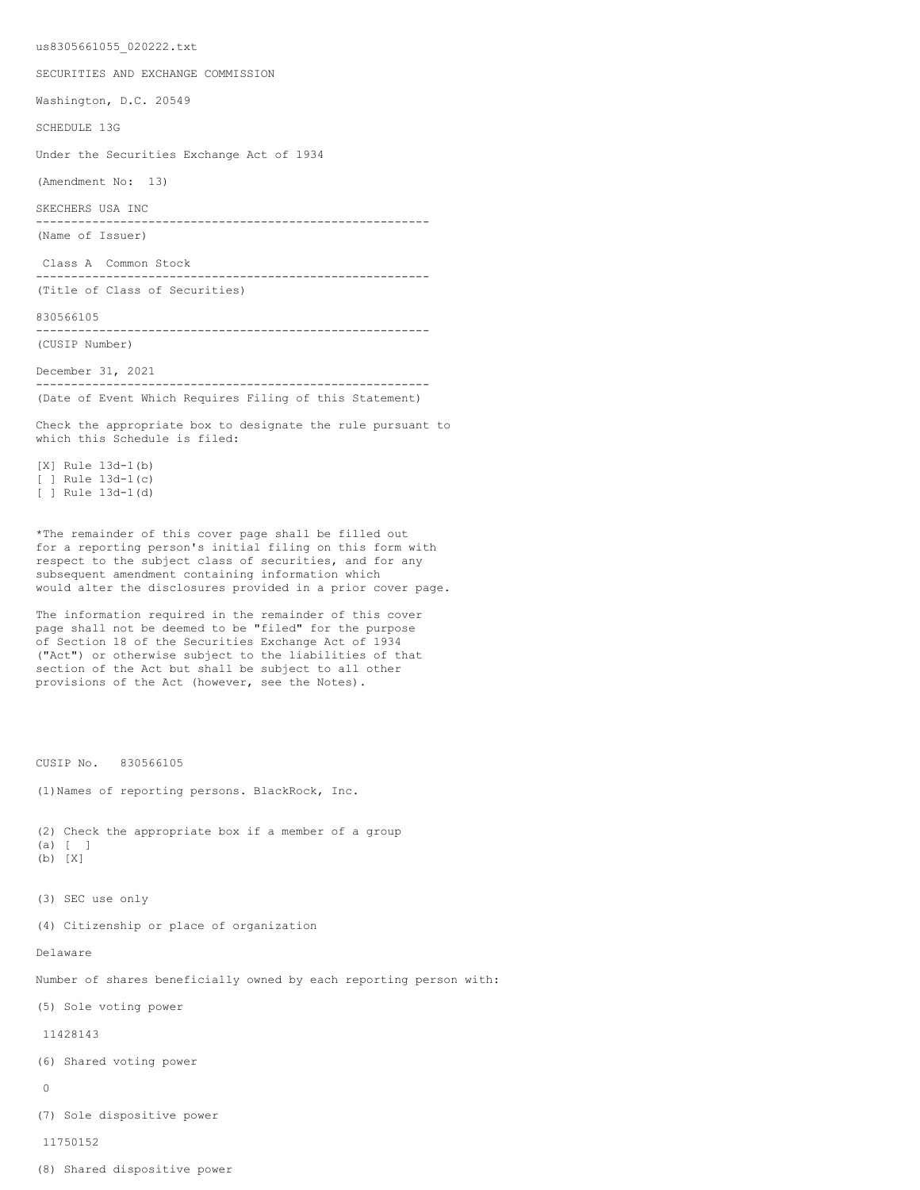us8305661055\_020222.txt

SECURITIES AND EXCHANGE COMMISSION

Washington, D.C. 20549

SCHEDULE 13G

Under the Securities Exchange Act of 1934

(Amendment No: 13)

SKECHERS USA INC

-------------------------------------------------------- (Name of Issuer)

Class A Common Stock

-------------------------------------------------------- (Title of Class of Securities)

830566105

-------------------------------------------------------- (CUSIP Number)

December 31, 2021 -------------------------------------------------------- (Date of Event Which Requires Filing of this Statement)

Check the appropriate box to designate the rule pursuant to which this Schedule is filed:

[X] Rule 13d-1(b) [ ] Rule 13d-1(c) [ ] Rule 13d-1(d)

\*The remainder of this cover page shall be filled out for a reporting person's initial filing on this form with respect to the subject class of securities, and for any subsequent amendment containing information which would alter the disclosures provided in a prior cover page.

The information required in the remainder of this cover page shall not be deemed to be "filed" for the purpose of Section 18 of the Securities Exchange Act of 1934 ("Act") or otherwise subject to the liabilities of that section of the Act but shall be subject to all other provisions of the Act (however, see the Notes).

CUSIP No. 830566105

(1)Names of reporting persons. BlackRock, Inc.

(2) Check the appropriate box if a member of a group (a) [ ] (b) [X]

- 
- (3) SEC use only

(4) Citizenship or place of organization

Delaware

Number of shares beneficially owned by each reporting person with:

(5) Sole voting power

11428143

(6) Shared voting power

 $\Omega$ 

(7) Sole dispositive power

11750152

(8) Shared dispositive power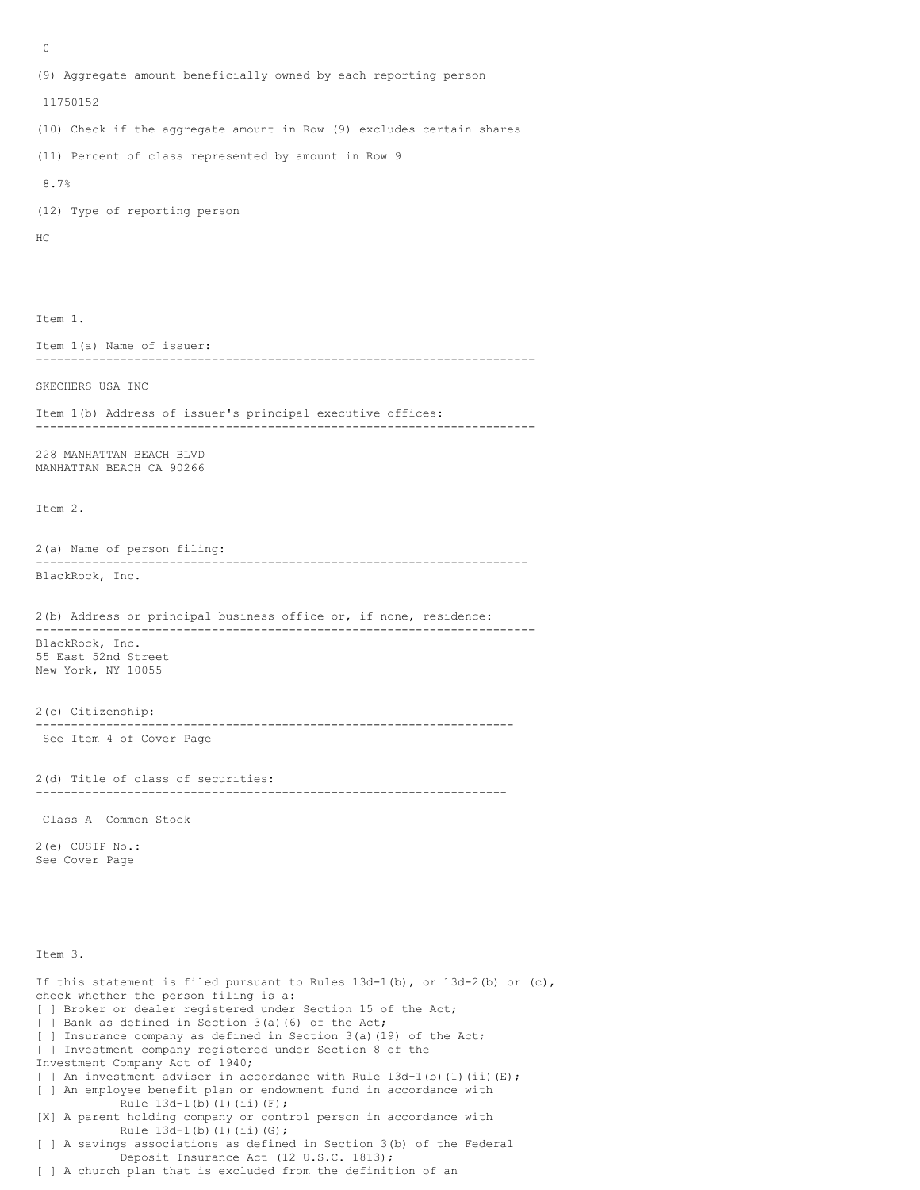```
(9) Aggregate amount beneficially owned by each reporting person
 11750152
(10) Check if the aggregate amount in Row (9) excludes certain shares
(11) Percent of class represented by amount in Row 9
 8.7%
(12) Type of reporting person
HC
Item 1.
Item 1(a) Name of issuer:
-----------------------------------------------------------------------
SKECHERS USA INC
Item 1(b) Address of issuer's principal executive offices:
-----------------------------------------------------------------------
228 MANHATTAN BEACH BLVD
MANHATTAN BEACH CA 90266
Item 2.
2(a) Name of person filing:
----------------------------------------------------------------------
BlackRock, Inc.
2(b) Address or principal business office or, if none, residence:
-----------------------------------------------------------------------
BlackRock, Inc.
55 East 52nd Street
New York, NY 10055
2(c) Citizenship:
                         --------------------------------------------------------------------
 See Item 4 of Cover Page
2(d) Title of class of securities:
-------------------------------------------------------------------
 Class A Common Stock
2(e) CUSIP No.:
See Cover Page
Item 3.
If this statement is filed pursuant to Rules 13d-1(b), or 13d-2(b) or (c),
check whether the person filing is a:
[ ] Broker or dealer registered under Section 15 of the Act;
 ] Bank as defined in Section 3(a)(6) of the Act;
[ ] Insurance company as defined in Section 3(a)(19) of the Act;
[ ] Investment company registered under Section 8 of the
Investment Company Act of 1940;
[ ] An investment adviser in accordance with Rule 13d-1 (b) (1) (ii) (E);
[ ] An employee benefit plan or endowment fund in accordance with
            Rule 13d-1(b) (1)(ii)(F);
[X] A parent holding company or control person in accordance with
           Rule 13d-1(b)(1)(ii)(G);[ ] A savings associations as defined in Section 3(b) of the Federal
             Deposit Insurance Act (12 U.S.C. 1813);
[ ] A church plan that is excluded from the definition of an
```
 $\Omega$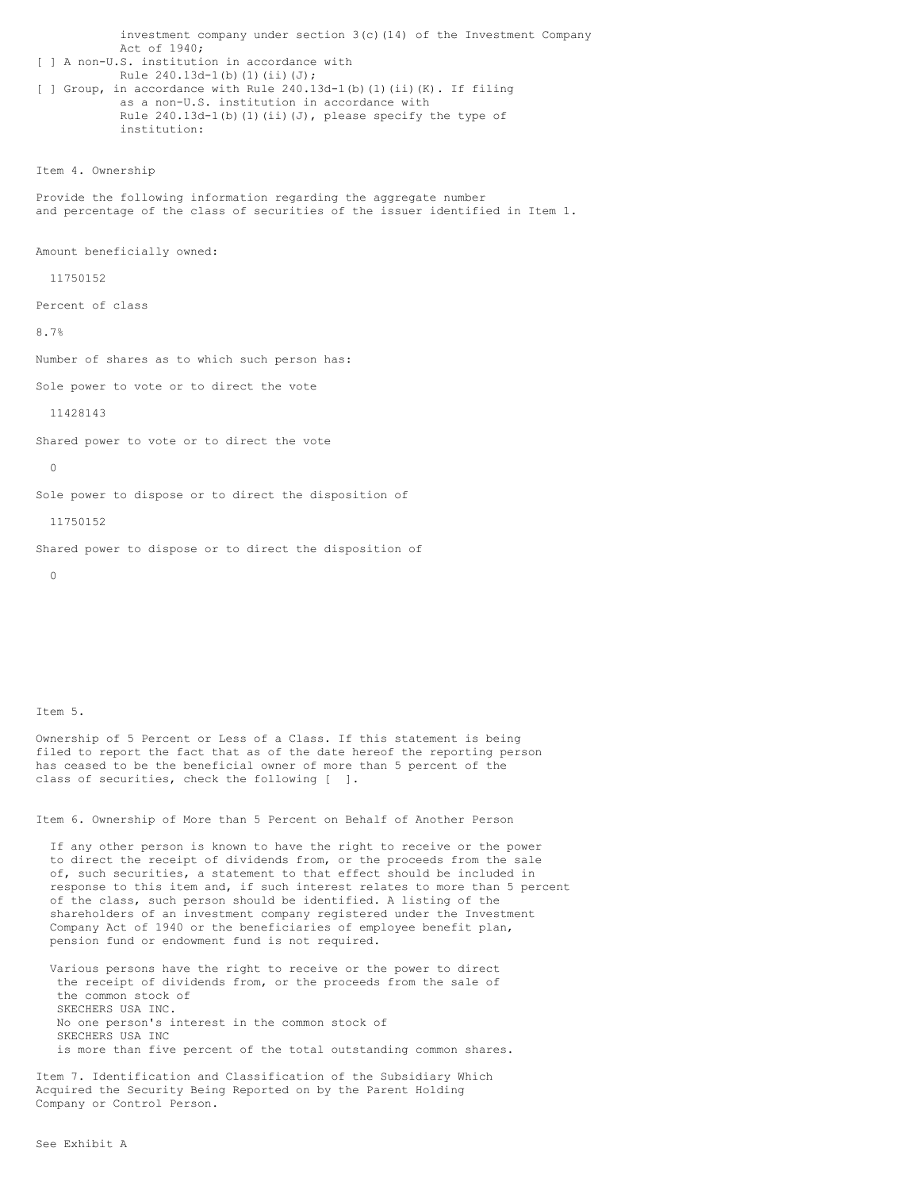```
 investment company under section 3(c)(14) of the Investment Company
             Act of 1940;
[ ] A non-U.S. institution in accordance with
           Rule 240.13d-1(b)(1)(ii)(J);
[ ] Group, in accordance with Rule 240.13d-1(b)(1)(ii)(K). If filing
             as a non-U.S. institution in accordance with
            Rule 240.13d-1(b)(1)(ii)(J), please specify the type of
             institution:
Item 4. Ownership
```
Provide the following information regarding the aggregate number and percentage of the class of securities of the issuer identified in Item 1.

Amount beneficially owned:

11750152

Percent of class

8.7%

Number of shares as to which such person has:

Sole power to vote or to direct the vote

11428143

Shared power to vote or to direct the vote

 $\Omega$ 

Sole power to dispose or to direct the disposition of

11750152

Shared power to dispose or to direct the disposition of

 $\Omega$ 

Item 5.

Ownership of 5 Percent or Less of a Class. If this statement is being filed to report the fact that as of the date hereof the reporting person has ceased to be the beneficial owner of more than 5 percent of the class of securities, check the following [ ].

Item 6. Ownership of More than 5 Percent on Behalf of Another Person

 If any other person is known to have the right to receive or the power to direct the receipt of dividends from, or the proceeds from the sale of, such securities, a statement to that effect should be included in response to this item and, if such interest relates to more than 5 percent of the class, such person should be identified. A listing of the shareholders of an investment company registered under the Investment Company Act of 1940 or the beneficiaries of employee benefit plan, pension fund or endowment fund is not required.

 Various persons have the right to receive or the power to direct the receipt of dividends from, or the proceeds from the sale of the common stock of SKECHERS USA INC. No one person's interest in the common stock of SKECHERS USA INC is more than five percent of the total outstanding common shares.

Item 7. Identification and Classification of the Subsidiary Which Acquired the Security Being Reported on by the Parent Holding Company or Control Person.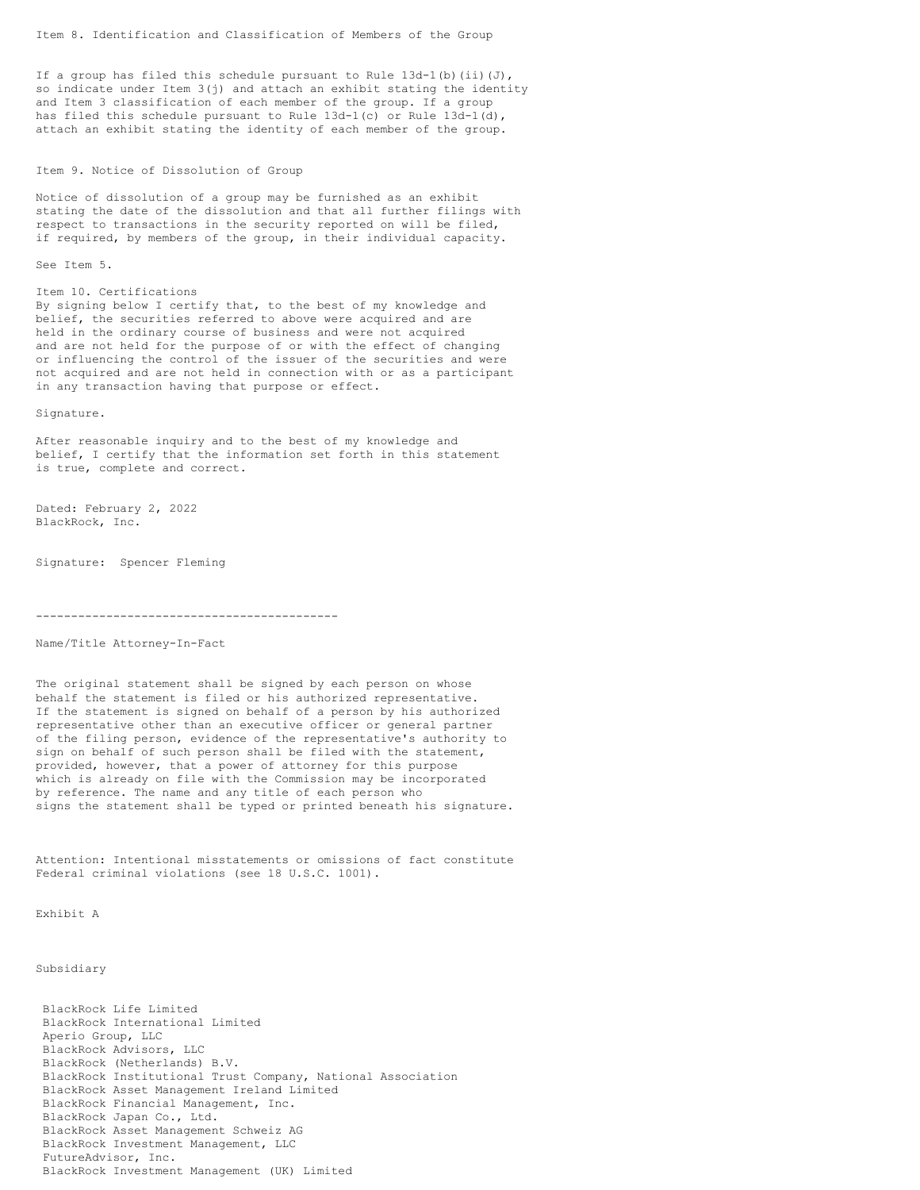If a group has filed this schedule pursuant to Rule  $13d-1$  (b) (ii)(J), so indicate under Item 3(j) and attach an exhibit stating the identity and Item 3 classification of each member of the group. If a group has filed this schedule pursuant to Rule 13d-1(c) or Rule 13d-1(d), attach an exhibit stating the identity of each member of the group.

#### Item 9. Notice of Dissolution of Group

Notice of dissolution of a group may be furnished as an exhibit stating the date of the dissolution and that all further filings with respect to transactions in the security reported on will be filed, if required, by members of the group, in their individual capacity.

See Item 5.

#### Item 10. Certifications

By signing below I certify that, to the best of my knowledge and belief, the securities referred to above were acquired and are held in the ordinary course of business and were not acquired and are not held for the purpose of or with the effect of changing or influencing the control of the issuer of the securities and were not acquired and are not held in connection with or as a participant in any transaction having that purpose or effect.

Signature.

After reasonable inquiry and to the best of my knowledge and belief, I certify that the information set forth in this statement is true, complete and correct.

Dated: February 2, 2022 BlackRock, Inc.

Signature: Spencer Fleming

-------------------------------------------

# Name/Title Attorney-In-Fact

The original statement shall be signed by each person on whose behalf the statement is filed or his authorized representative. If the statement is signed on behalf of a person by his authorized representative other than an executive officer or general partner of the filing person, evidence of the representative's authority to sign on behalf of such person shall be filed with the statement, provided, however, that a power of attorney for this purpose which is already on file with the Commission may be incorporated by reference. The name and any title of each person who signs the statement shall be typed or printed beneath his signature.

Attention: Intentional misstatements or omissions of fact constitute Federal criminal violations (see 18 U.S.C. 1001).

Exhibit A

## Subsidiary

 BlackRock Life Limited BlackRock International Limited Aperio Group, LLC BlackRock Advisors, LLC BlackRock (Netherlands) B.V. BlackRock Institutional Trust Company, National Association BlackRock Asset Management Ireland Limited BlackRock Financial Management, Inc. BlackRock Japan Co., Ltd. BlackRock Asset Management Schweiz AG BlackRock Investment Management, LLC FutureAdvisor, Inc. BlackRock Investment Management (UK) Limited